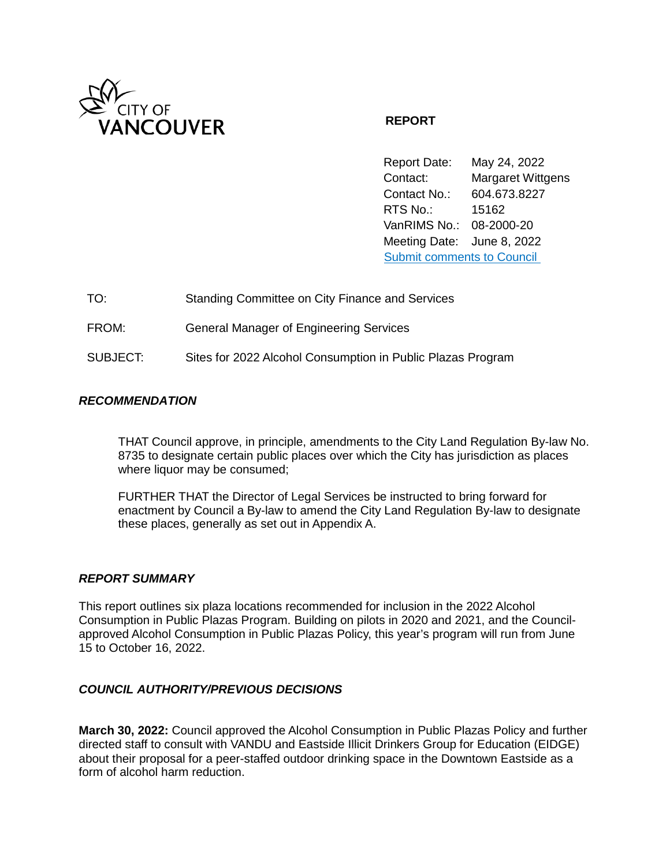

### **REPORT**

Report Date: May 24, 2022 Contact: Margaret Wittgens Contact No.: 604.673.8227 RTS No.: 15162 VanRIMS No.: 08-2000-20 Meeting Date: June 8, 2022 [Submit comments to Council](https://vancouver.ca/your-government/contact-council.aspx) 

| TO:      | Standing Committee on City Finance and Services             |
|----------|-------------------------------------------------------------|
| FROM:    | <b>General Manager of Engineering Services</b>              |
| SUBJECT: | Sites for 2022 Alcohol Consumption in Public Plazas Program |

### *RECOMMENDATION*

THAT Council approve, in principle, amendments to the City Land Regulation By-law No. 8735 to designate certain public places over which the City has jurisdiction as places where liquor may be consumed;

FURTHER THAT the Director of Legal Services be instructed to bring forward for enactment by Council a By-law to amend the City Land Regulation By-law to designate these places, generally as set out in Appendix A.

#### *REPORT SUMMARY*

This report outlines six plaza locations recommended for inclusion in the 2022 Alcohol Consumption in Public Plazas Program. Building on pilots in 2020 and 2021, and the Councilapproved Alcohol Consumption in Public Plazas Policy, this year's program will run from June 15 to October 16, 2022.

#### *COUNCIL AUTHORITY/PREVIOUS DECISIONS*

**March 30, 2022:** Council approved the Alcohol Consumption in Public Plazas Policy and further directed staff to consult with VANDU and Eastside Illicit Drinkers Group for Education (EIDGE) about their proposal for a peer-staffed outdoor drinking space in the Downtown Eastside as a form of alcohol harm reduction.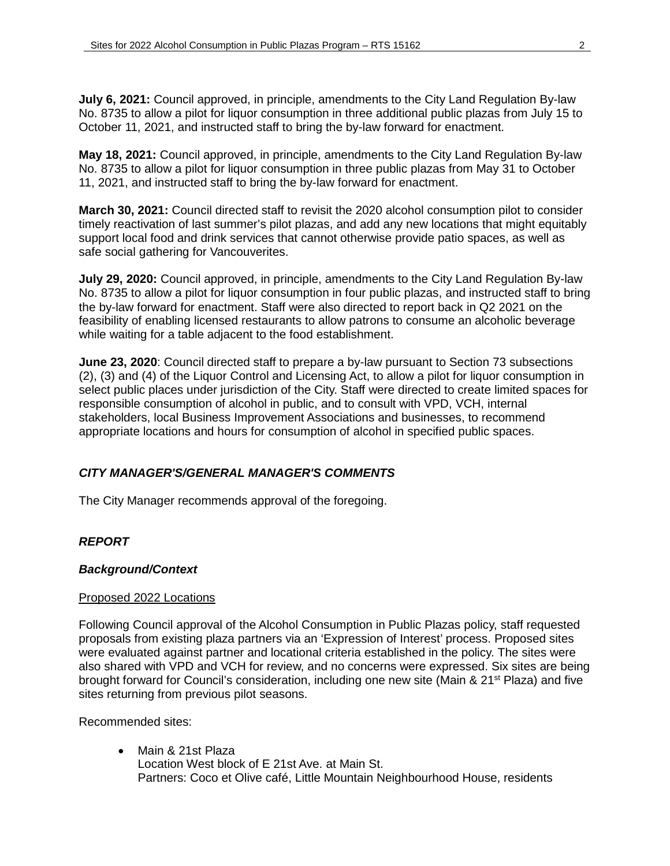**July 6, 2021:** Council approved, in principle, amendments to the City Land Regulation By-law No. 8735 to allow a pilot for liquor consumption in three additional public plazas from July 15 to October 11, 2021, and instructed staff to bring the by-law forward for enactment.

**May 18, 2021:** Council approved, in principle, amendments to the City Land Regulation By-law No. 8735 to allow a pilot for liquor consumption in three public plazas from May 31 to October 11, 2021, and instructed staff to bring the by-law forward for enactment.

**March 30, 2021:** Council directed staff to revisit the 2020 alcohol consumption pilot to consider timely reactivation of last summer's pilot plazas, and add any new locations that might equitably support local food and drink services that cannot otherwise provide patio spaces, as well as safe social gathering for Vancouverites.

**July 29, 2020:** Council approved, in principle, amendments to the City Land Regulation By-law No. 8735 to allow a pilot for liquor consumption in four public plazas, and instructed staff to bring the by-law forward for enactment. Staff were also directed to report back in Q2 2021 on the feasibility of enabling licensed restaurants to allow patrons to consume an alcoholic beverage while waiting for a table adjacent to the food establishment.

**June 23, 2020**: Council directed staff to prepare a by-law pursuant to Section 73 subsections (2), (3) and (4) of the Liquor Control and Licensing Act, to allow a pilot for liquor consumption in select public places under jurisdiction of the City. Staff were directed to create limited spaces for responsible consumption of alcohol in public, and to consult with VPD, VCH, internal stakeholders, local Business Improvement Associations and businesses, to recommend appropriate locations and hours for consumption of alcohol in specified public spaces.

## *CITY MANAGER'S/GENERAL MANAGER'S COMMENTS*

The City Manager recommends approval of the foregoing.

### *REPORT*

### *Background/Context*

#### Proposed 2022 Locations

Following Council approval of the Alcohol Consumption in Public Plazas policy, staff requested proposals from existing plaza partners via an 'Expression of Interest' process. Proposed sites were evaluated against partner and locational criteria established in the policy. The sites were also shared with VPD and VCH for review, and no concerns were expressed. Six sites are being brought forward for Council's consideration, including one new site (Main & 21<sup>st</sup> Plaza) and five sites returning from previous pilot seasons.

Recommended sites:

• Main & 21st Plaza Location West block of E 21st Ave. at Main St. Partners: Coco et Olive café, Little Mountain Neighbourhood House, residents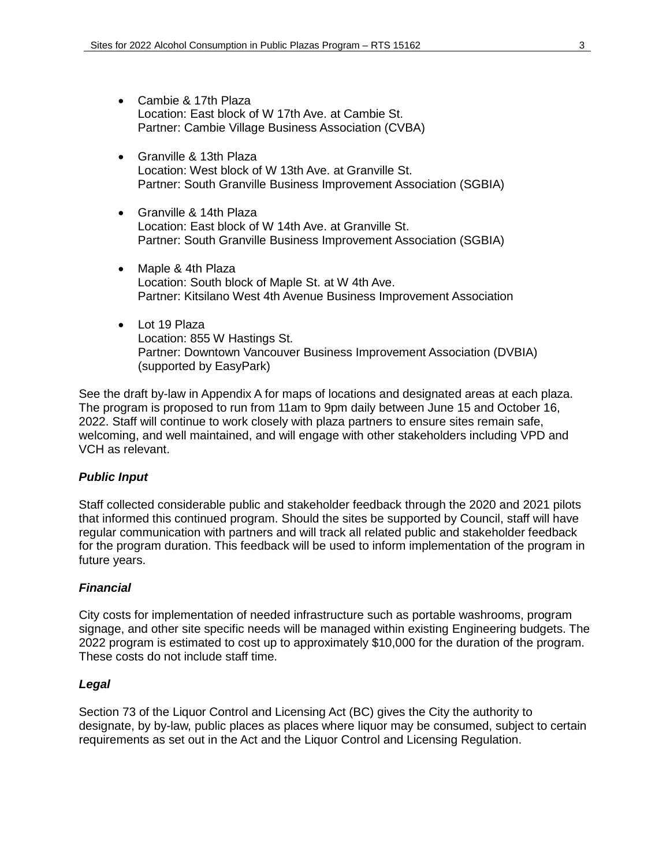- Cambie & 17th Plaza Location: East block of W 17th Ave. at Cambie St. Partner: Cambie Village Business Association (CVBA)
- Granville & 13th Plaza Location: West block of W 13th Ave. at Granville St. Partner: South Granville Business Improvement Association (SGBIA)
- Granville & 14th Plaza Location: East block of W 14th Ave. at Granville St. Partner: South Granville Business Improvement Association (SGBIA)
- Maple & 4th Plaza Location: South block of Maple St. at W 4th Ave. Partner: Kitsilano West 4th Avenue Business Improvement Association
- Lot 19 Plaza Location: 855 W Hastings St. Partner: Downtown Vancouver Business Improvement Association (DVBIA) (supported by EasyPark)

See the draft by-law in Appendix A for maps of locations and designated areas at each plaza. The program is proposed to run from 11am to 9pm daily between June 15 and October 16, 2022. Staff will continue to work closely with plaza partners to ensure sites remain safe, welcoming, and well maintained, and will engage with other stakeholders including VPD and VCH as relevant.

### *Public Input*

Staff collected considerable public and stakeholder feedback through the 2020 and 2021 pilots that informed this continued program. Should the sites be supported by Council, staff will have regular communication with partners and will track all related public and stakeholder feedback for the program duration. This feedback will be used to inform implementation of the program in future years.

### *Financial*

City costs for implementation of needed infrastructure such as portable washrooms, program signage, and other site specific needs will be managed within existing Engineering budgets. The 2022 program is estimated to cost up to approximately \$10,000 for the duration of the program. These costs do not include staff time.

#### *Legal*

Section 73 of the Liquor Control and Licensing Act (BC) gives the City the authority to designate, by by-law, public places as places where liquor may be consumed, subject to certain requirements as set out in the Act and the Liquor Control and Licensing Regulation.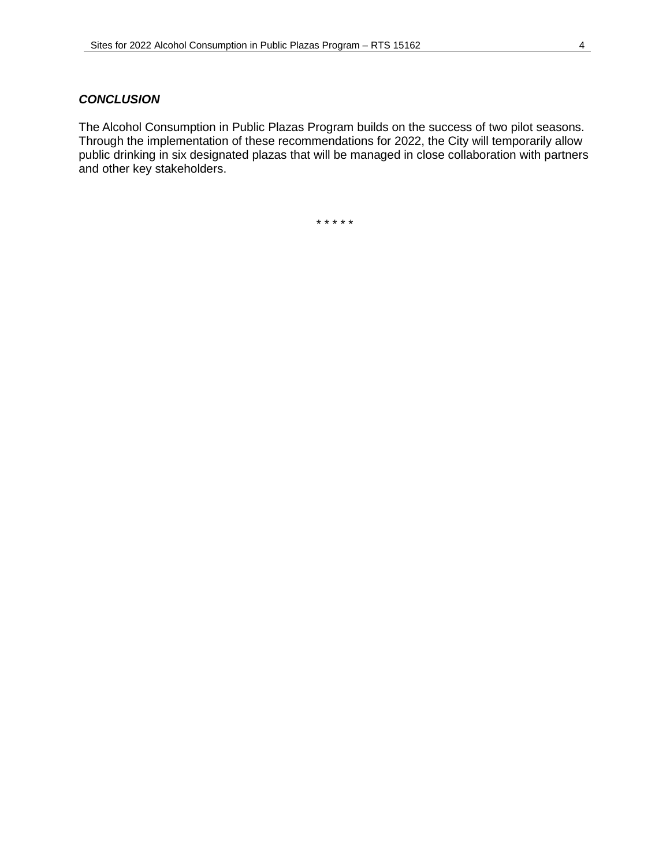#### *CONCLUSION*

The Alcohol Consumption in Public Plazas Program builds on the success of two pilot seasons. Through the implementation of these recommendations for 2022, the City will temporarily allow public drinking in six designated plazas that will be managed in close collaboration with partners and other key stakeholders.

\* \* \* \* \*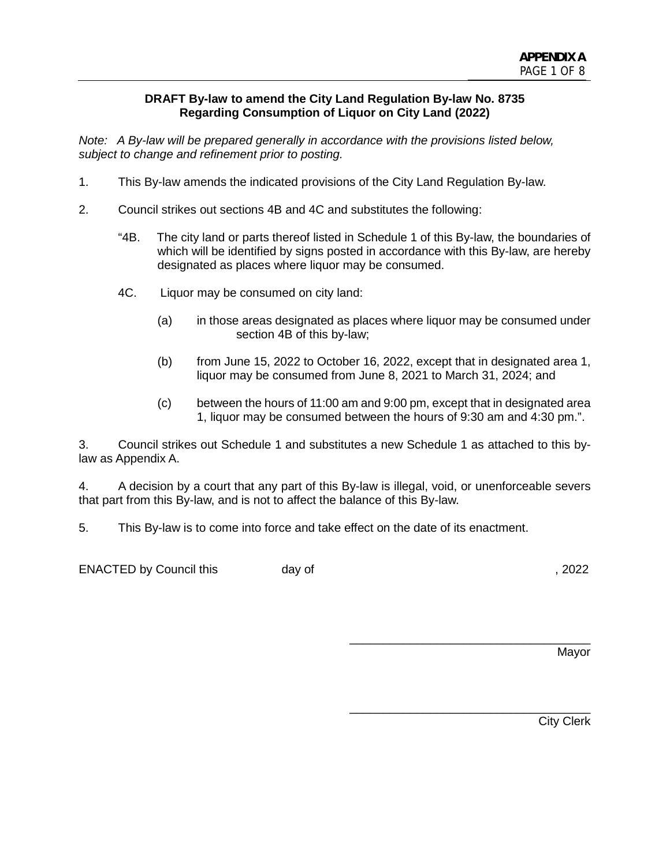#### **DRAFT By-law to amend the City Land Regulation By-law No. 8735 Regarding Consumption of Liquor on City Land (2022)**

*Note: A By-law will be prepared generally in accordance with the provisions listed below, subject to change and refinement prior to posting.*

- 1. This By-law amends the indicated provisions of the City Land Regulation By-law.
- 2. Council strikes out sections 4B and 4C and substitutes the following:
	- "4B. The city land or parts thereof listed in Schedule 1 of this By-law, the boundaries of which will be identified by signs posted in accordance with this By-law, are hereby designated as places where liquor may be consumed.
	- 4C. Liquor may be consumed on city land:
		- (a) in those areas designated as places where liquor may be consumed under section 4B of this by-law;
		- (b) from June 15, 2022 to October 16, 2022, except that in designated area 1, liquor may be consumed from June 8, 2021 to March 31, 2024; and
		- (c) between the hours of 11:00 am and 9:00 pm, except that in designated area 1, liquor may be consumed between the hours of 9:30 am and 4:30 pm.".

3. Council strikes out Schedule 1 and substitutes a new Schedule 1 as attached to this bylaw as Appendix A.

4. A decision by a court that any part of this By-law is illegal, void, or unenforceable severs that part from this By-law, and is not to affect the balance of this By-law.

5. This By-law is to come into force and take effect on the date of its enactment.

ENACTED by Council this day of the control of the control of the control of the control of the control of the control of the control of the control of the control of the control of the control of the control of the control

Mayor

\_\_\_\_\_\_\_\_\_\_\_\_\_\_\_\_\_\_\_\_\_\_\_\_\_\_\_\_\_\_\_\_\_\_\_\_

\_\_\_\_\_\_\_\_\_\_\_\_\_\_\_\_\_\_\_\_\_\_\_\_\_\_\_\_\_\_\_\_\_\_\_\_

City Clerk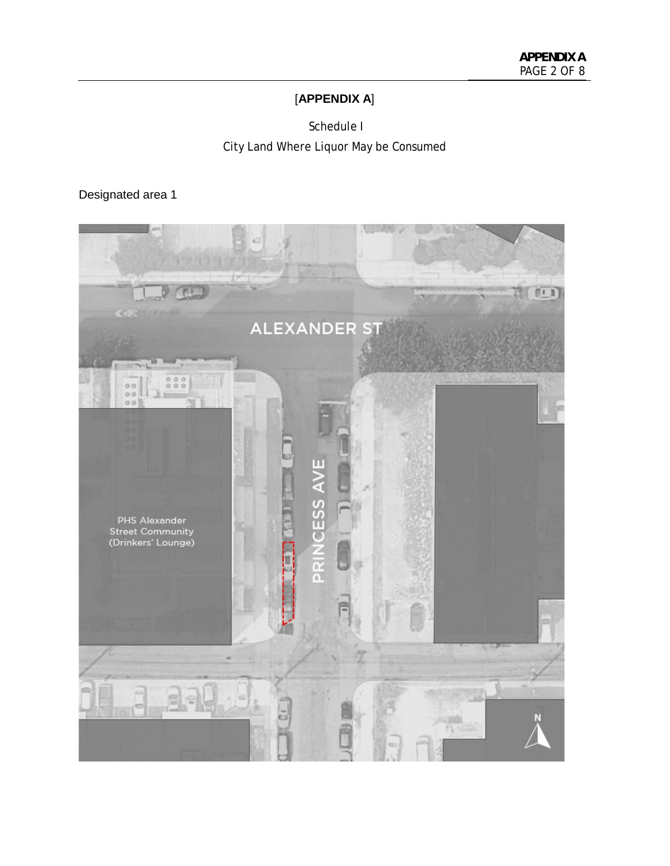## [**APPENDIX A**]

 Schedule I City Land Where Liquor May be Consumed

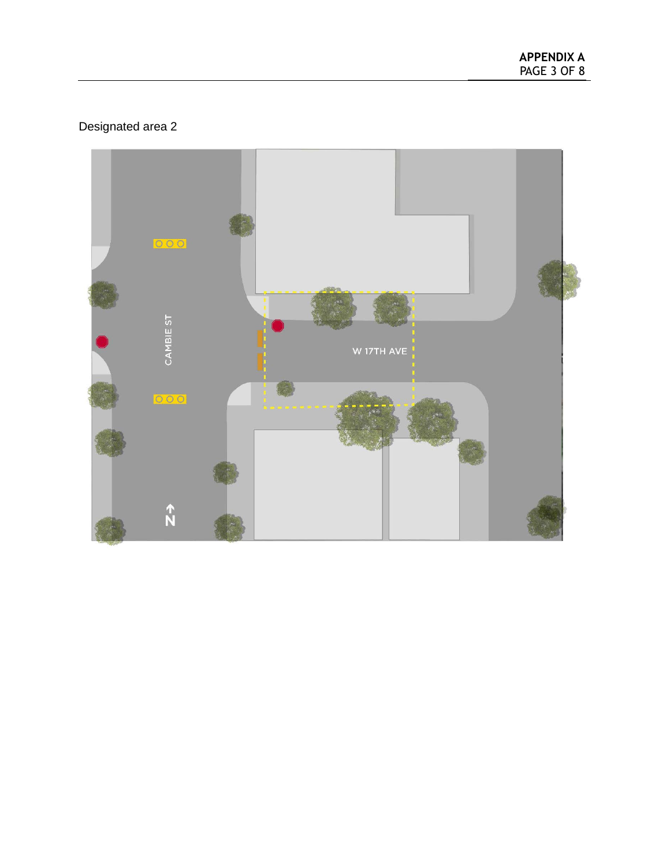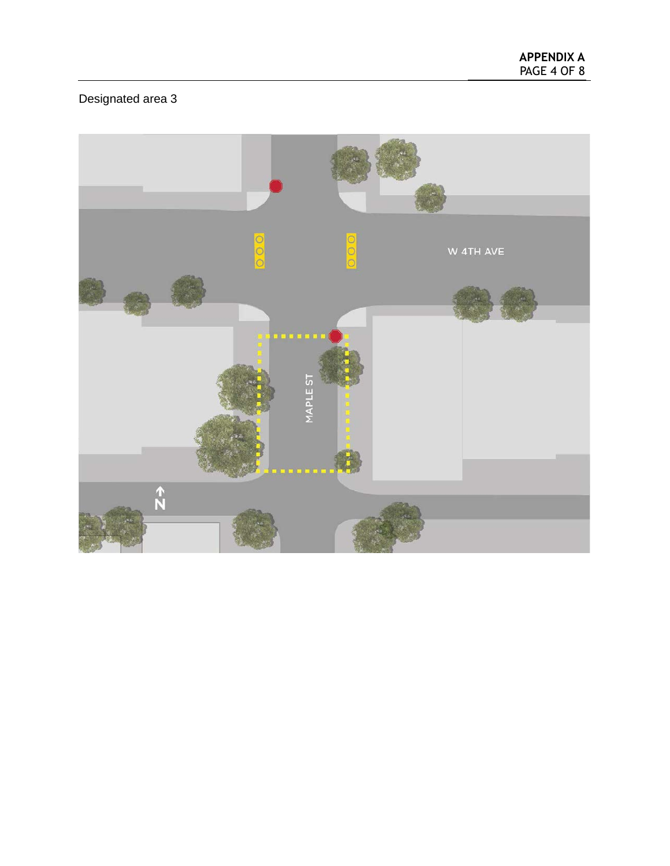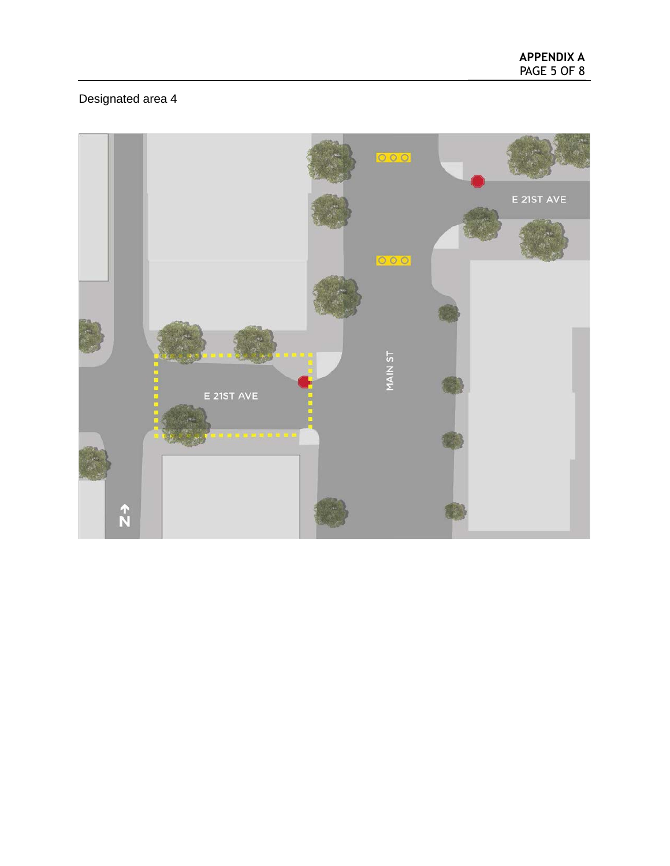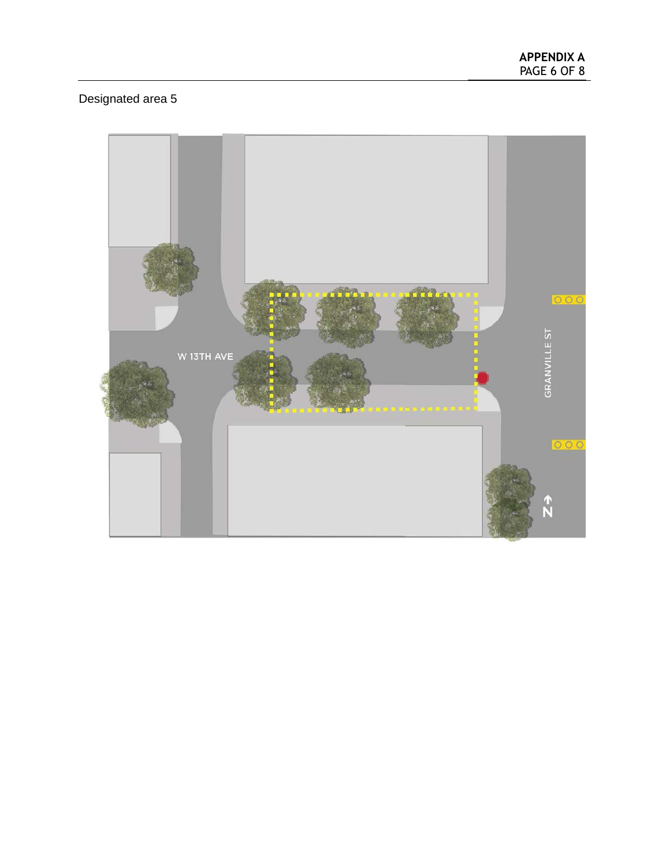**APPENDIX A** PAGE 6 OF 8

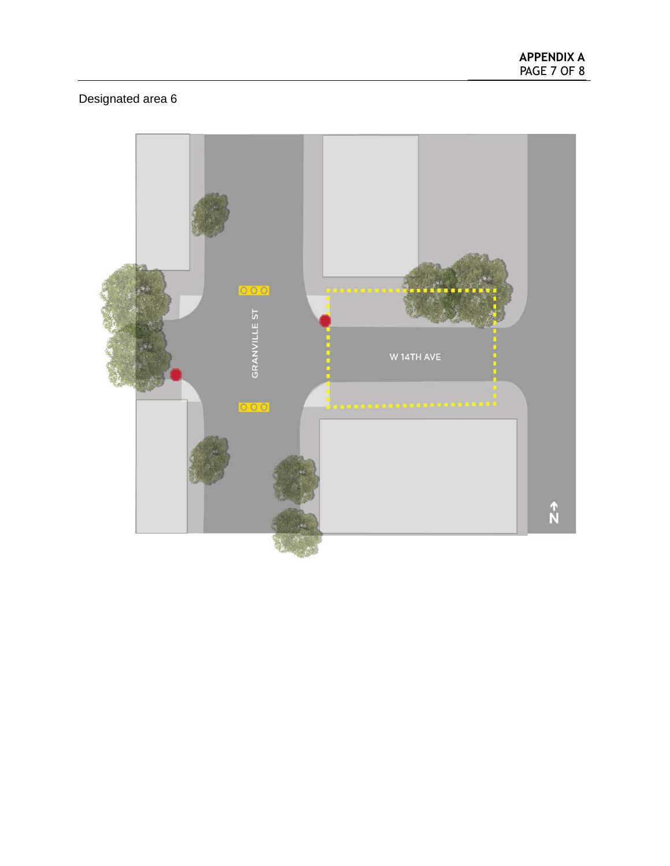**APPENDIX A** PAGE 7 OF 8